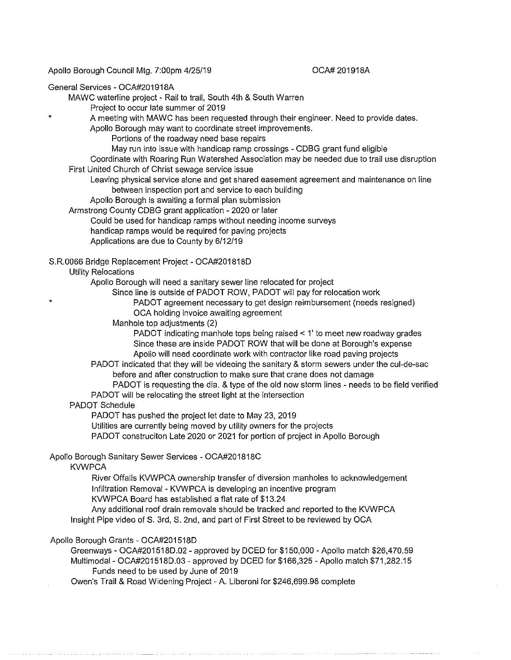Apollo Borough Council Mtg. 7:00pm 4/25/19

### OCA# 201918A

#### General Services - OCA#201918A

\*

\*

MAWC waterline project - Rail to trail, South 4th & South Warren

Project to occur late summer of 2019

A meeting with MAWC has been requested through their engineer. Need to provide dates.

Apollo Borough may want to coordinate street improvements.

Portions of the roadway need base repairs

May run into issue with handicap ramp crossings - CDBG grant fund eligible

Coordinate with Roaring Run Watershed Association may be needed due to trail use disruption First United Church of Christ sewage service issue

Leaving physical service alone and get shared easement agreement and maintenance on line between inspection port and service to each building

Apollo Borough is awaiting a formal plan submission

Armstrong County CDBG grant application - 2020 or later

Could be used for handicap ramps without needing income surveys

handicap ramps would be required for paving projects

Applications are due to County by 6/12/19

S.R.0066 Bridge Replacement Project - OCA#201818D

Utility Relocations

Apollo Borough will need a sanitary sewer line relocated for project

Since line is outside of PADOT ROW, PADOT will pay for relocation work

PADOT agreement necessary to get design reimbursement (needs resigned)

OCA holding invoice awaiting agreement

Manhole top adjustments (2)

PADOT indicating manhole tops being raised < 1' to meet new roadway grades Since these are inside PADOT ROW that will be done at Borough's expense Apollo will need coordinate work with contractor like road paving projects

PADOT indicated that they will be videoing the sanitary & storm sewers under the cul-de-sac before and after construction to make sure that crane does not damage

PADOT is requesting the dia. & type of the old now storm lines - needs to be field verified PADOT will be relocating the street light at the intersection

#### PADOT Schedule

PADOT has pushed the project let date to May 23, 2019

Utilities are currently being moved by utility owners for the projects

PADOT construciton Late 2020 or 2021 for portion of project in Apollo Borough

Apollo Borough Sanitary Sewer Services - OCA#201818C

KVWPCA

River Offalls KVWPCA ownership transfer of diversion manholes to acknowledgement Infiltration Removal - KVWPCA is developing an incentive program

KVWPCA Board has established a flat rate of \$13.24

Any additional roof drain removals should be tracked and reported to the KVWPCA Insight Pipe video of S. 3rd, S. 2nd, and part of First Street to be reviewed by OCA

### Apollo Borough Grants - OCA#201518D

Greenways - OCA#201518D.02 - approved by DCED for \$150,000 -Apollo match \$26,470.59 Multimodal - OCA#201518D.03 - approved by DCED for \$166,325 -Apollo match \$71,282.15 Funds need to be used by June of 2019

Owen's Trail & Road Widening Project - A. Liberoni for \$246,699.98 complete